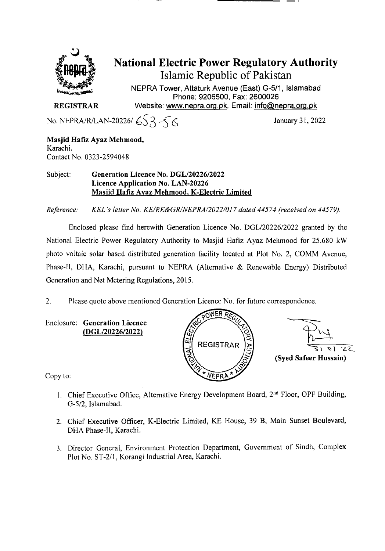

## **National Electric Power Regulatory Authority**

Islamic Republic of Pakistan

NEPRA Tower, Attaturk Avenue (East) G-5/1, Islamabad Phone: 9206500, Fax: 2600026 **REGISTRAR** Website: www.nepra.org.pk, Email: info@nepra.org.pk

No. NEPRA/R/LAN-20226/  $653 - 56$  January 31, 2022

**Masjid Hafiz Ayaz Mehmood,**  Karachi. Contact No. 0323-2594048

Subject: **Generation Licence No. DGL/20226/2022 Licence Application No. LAN-20226 Mas lid Hafiz Ayaz Mehmood, K-Electric Limited** 

*Reference:* KEL *'s letter No. KE/RE&GR/NEPRA/2022/017 dated 44574 (received on 44579).* 

Enclosed please find herewith Generation Licence No. *DGL120226/2022* granted by the National Electric Power Regulatory Authority to Masjid Hafiz Ayaz Mehmood for 25.680 kW photo voltaic solar based distributed generation facility located at Plot No. 2, COMM Avenue, Phase-lI, DHA, Karachi, pursuant to NEPRA (Alternative & Renewable Energy) Distributed Generation and Net Metering Regulations, *2015.* 

Enclosure: **Generation Licence (DGL/2022612022)** 





Copy to:

- 1. Chief Executive Office, Alternative Energy Development Board, 2<sup>nd</sup> Floor, OPF Building, G-5/2, Islamabad.
- 2. Chief Executive Officer, K-Electric Limited, KE House, 39 B, Main Sunset Boulevard, DHA Phase-II, Karachi.
- 3. Director General, Environment Protection Department, Government of Sindh, Complex Plot No. ST-2/l, Korangi Industrial Area, Karachi.